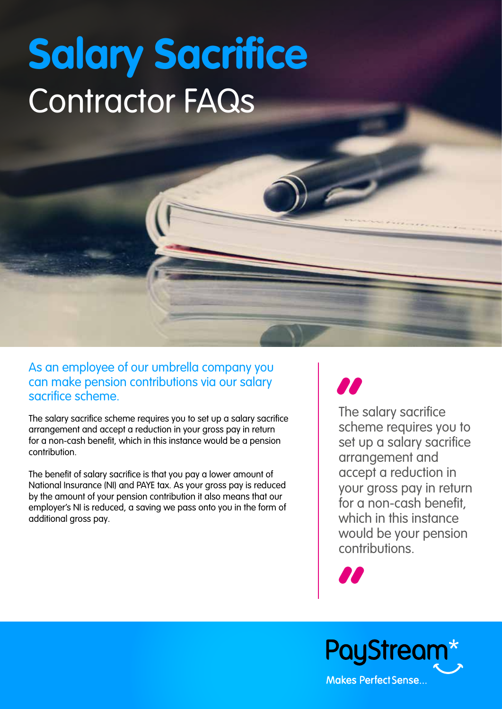# **Salary Sacrifice** Contractor FAQs

As an employee of our umbrella company you can make pension contributions via our salary sacrifice scheme.

The salary sacrifice scheme requires you to set up a salary sacrifice arrangement and accept a reduction in your gross pay in return for a non-cash benefit, which in this instance would be a pension contribution.

The benefit of salary sacrifice is that you pay a lower amount of National Insurance (NI) and PAYE tax. As your gross pay is reduced by the amount of your pension contribution it also means that our employer's NI is reduced, a saving we pass onto you in the form of additional gross pay.

**The**<br>
sche The salary sacrifice scheme requires you to set up a salary sacrifice arrangement and accept a reduction in your gross pay in return for a non-cash benefit. which in this instance would be your pension contributions.

**"**

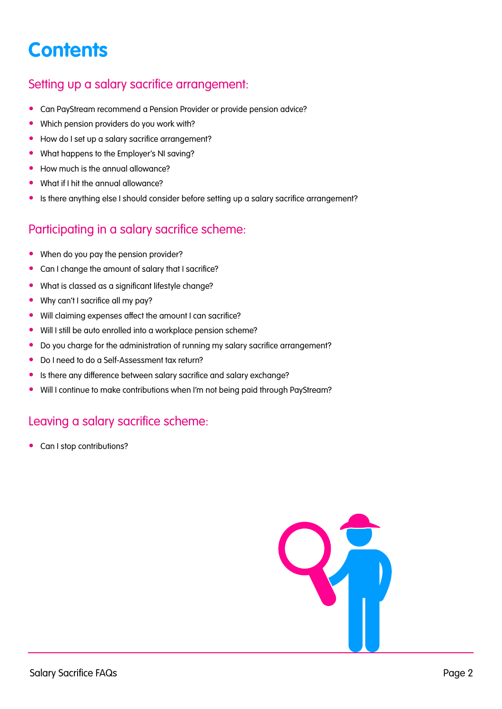# <span id="page-1-0"></span>**Contents**

#### Setting up a salary sacrifice arrangemen[t:](#page-2-0)

- [Can PayStream recommend a Pension Provider or provide pension advice?](#page-2-0)
- [Which pension providers do you work with?](#page-2-0)
- [How do I set up a salary sacrifice arrangement?](#page-2-0)
- [What happens to the Employer's NI saving?](#page-2-0)
- [How much is the annual allowance?](#page-2-0)
- [What if I hit the annual allowance?](#page-3-0)
- [Is there anything else I should consider before setting up a salary sacrifice arrangement?](#page-3-0)

#### Participating in a salary sacrifice schem[e:](#page-3-0)

- [When do you pay the pension provider?](#page-3-0)
- [Can I change the amount of salary that I sacrifice?](#page-3-0)
- [What is classed as a significant lifestyle change](#page-3-0)?
- [Why can't I sacrifice all my pay?](#page-3-0)
- [Will claiming expenses affect the amount I can sacrifice?](#page-4-0)
- [Will I still be auto enrolled into a workplace pension scheme?](#page-4-0)
- [Do you charge for the administration of running my salary sacrifice arrangement?](#page-4-0)
- [Do I need to do a Self-Assessment tax return?](#page-4-0)
- [Is there any difference between salary sacrifice and salary exchange?](#page-4-0)
- [Will I continue to make contributions when I'm not being paid through PayStream?](#page-4-0)

#### [Leaving a salary sacrifice scheme:](#page-4-0)

• [Can I stop contributions?](#page-4-0)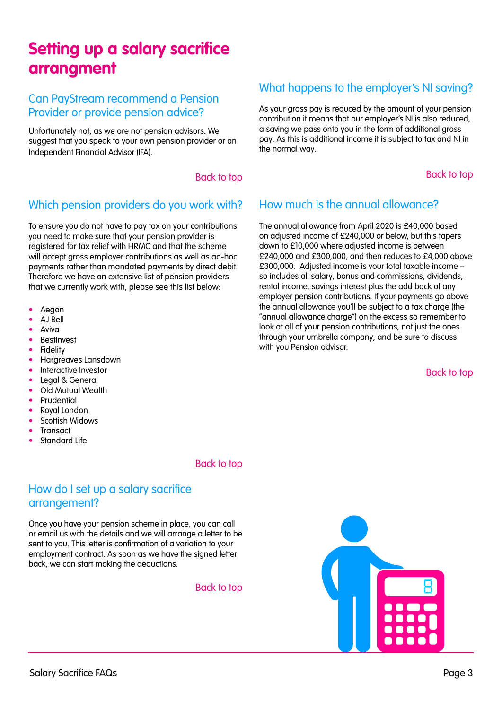# <span id="page-2-0"></span>**Setting up a salary sacrifice arrangment**

#### Can PayStream recommend a Pension Provider or provide pension advice?

Unfortunately not, as we are not pension advisors. We suggest that you speak to your own pension provider or an Independent Financial Advisor (IFA).

#### [Back to top](#page-1-0)

#### Which pension providers do you work with?

To ensure you do not have to pay tax on your contributions you need to make sure that your pension provider is registered for tax relief with HRMC and that the scheme will accept gross employer contributions as well as ad-hoc payments rather than mandated payments by direct debit. Therefore we have an extensive list of pension providers that we currently work with, please see this list below:

- Aegon
- AJ Bell
- Aviva
- **BestInvest**
- **Fidelity**
- Hargreaves Lansdown
- Interactive Investor
- Legal & General
- Old Mutual Wealth
- **Prudential**
- Royal London
- Scottish Widows
- **Transact**
- Standard Life

#### [Back to top](#page-1-0)

#### How do I set up a salary sacrifice arrangement?

Once you have your pension scheme in place, you can call or email us with the details and we will arrange a letter to be sent to you. This letter is confirmation of a variation to your employment contract. As soon as we have the signed letter back, we can start making the deductions.

#### [Back to top](#page-1-0)

#### What happens to the employer's NI saving?

As your gross pay is reduced by the amount of your pension contribution it means that our employer's NI is also reduced, a saving we pass onto you in the form of additional gross pay. As this is additional income it is subject to tax and NI in the normal way.

[Back to top](#page-1-0)

#### How much is the annual allowance?

The annual allowance from April 2020 is £40,000 based on adjusted income of £240,000 or below, but this tapers down to £10,000 where adjusted income is between £240,000 and £300,000, and then reduces to £4,000 above £300,000. Adjusted income is your total taxable income – so includes all salary, bonus and commissions, dividends, rental income, savings interest plus the add back of any employer pension contributions. If your payments go above the annual allowance you'll be subject to a tax charge (the "annual allowance charge") on the excess so remember to look at all of your pension contributions, not just the ones through your umbrella company, and be sure to discuss with you Pension advisor.

[Back to top](#page-1-0)

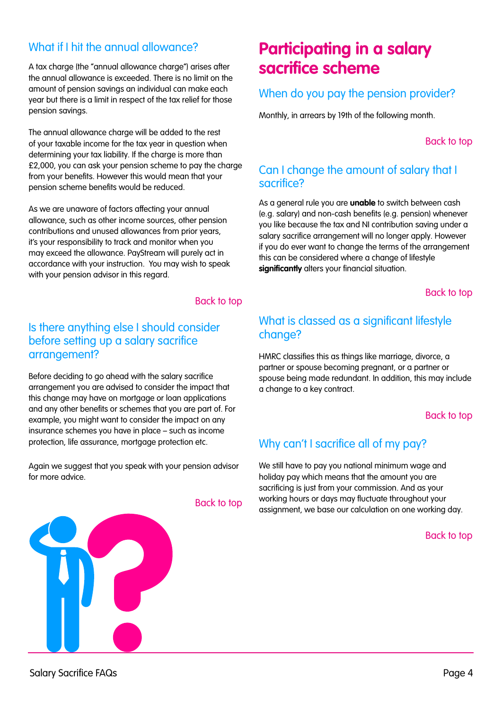#### <span id="page-3-0"></span>What if I hit the annual allowance?

A tax charge (the "annual allowance charge") arises after the annual allowance is exceeded. There is no limit on the amount of pension savings an individual can make each year but there is a limit in respect of the tax relief for those pension savings.

The annual allowance charge will be added to the rest of your taxable income for the tax year in question when determining your tax liability. If the charge is more than £2,000, you can ask your pension scheme to pay the charge from your benefits. However this would mean that your pension scheme benefits would be reduced.

As we are unaware of factors affecting your annual allowance, such as other income sources, other pension contributions and unused allowances from prior years, it's your responsibility to track and monitor when you may exceed the allowance. PayStream will purely act in accordance with your instruction. You may wish to speak with your pension advisor in this regard.

#### [Back to top](#page-1-0)

#### Is there anything else I should consider before setting up a salary sacrifice arrangement?

Before deciding to go ahead with the salary sacrifice arrangement you are advised to consider the impact that this change may have on mortgage or loan applications and any other benefits or schemes that you are part of. For example, you might want to consider the impact on any insurance schemes you have in place – such as income protection, life assurance, mortgage protection etc.

Again we suggest that you speak with your pension advisor for more advice.



## **Participating in a salary sacrifice scheme**

#### When do you pay the pension provider?

Monthly, in arrears by 19th of the following month.

[Back to top](#page-1-0)

#### Can I change the amount of salary that I sacrifice?

As a general rule you are **unable** to switch between cash (e.g. salary) and non-cash benefits (e.g. pension) whenever you like because the tax and NI contribution saving under a salary sacrifice arrangement will no longer apply. However if you do ever want to change the terms of the arrangement this can be considered where a change of lifestyle **significantly** alters your financial situation.

#### [Back to top](#page-1-0)

#### What is classed as a significant lifestyle change?

HMRC classifies this as things like marriage, divorce, a partner or spouse becoming pregnant, or a partner or spouse being made redundant. In addition, this may include a change to a key contract.

#### [Back to top](#page-1-0)

#### Why can't I sacrifice all of my pay?

We still have to pay you national minimum wage and holiday pay which means that the amount you are sacrificing is just from your commission. And as your working hours or days may fluctuate throughout your assignment, we base our calculation on one working day.

#### [Back to top](#page-1-0)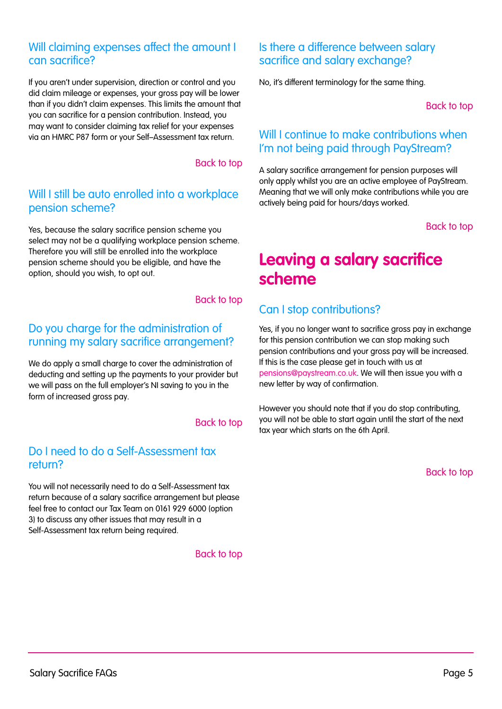#### <span id="page-4-0"></span>Will claiming expenses affect the amount I can sacrifice?

If you aren't under supervision, direction or control and you did claim mileage or expenses, your gross pay will be lower than if you didn't claim expenses. This limits the amount that you can sacrifice for a pension contribution. Instead, you may want to consider claiming tax relief for your expenses via an HMRC P87 form or your Self–Assessment tax return.

#### [Back to top](#page-1-0)

#### Will I still be auto enrolled into a workplace pension scheme?

Yes, because the salary sacrifice pension scheme you select may not be a qualifying workplace pension scheme. Therefore you will still be enrolled into the workplace pension scheme should you be eligible, and have the option, should you wish, to opt out.

#### [Back to top](#page-1-0)

#### Do you charge for the administration of running my salary sacrifice arrangement?

We do apply a small charge to cover the administration of deducting and setting up the payments to your provider but we will pass on the full employer's NI saving to you in the form of increased gross pay.

#### [Back to top](#page-1-0)

#### Do I need to do a Self-Assessment tax return?

You will not necessarily need to do a Self-Assessment tax return because of a salary sacrifice arrangement but please feel free to contact our Tax Team on 0161 929 6000 (option 3) to discuss any other issues that may result in a Self-Assessment tax return being required.

[Back to top](#page-1-0)

#### Is there a difference between salary sacrifice and salary exchange?

No, it's different terminology for the same thing.

[Back to top](#page-1-0)

#### Will I continue to make contributions when I'm not being paid through PayStream?

A salary sacrifice arrangement for pension purposes will only apply whilst you are an active employee of PayStream. Meaning that we will only make contributions while you are actively being paid for hours/days worked.

[Back to top](#page-1-0)

## **Leaving a salary sacrifice scheme**

#### Can I stop contributions?

Yes, if you no longer want to sacrifice gross pay in exchange for this pension contribution we can stop making such pension contributions and your gross pay will be increased. If this is the case please get in touch with us at [pensions@paystream.co.uk](mailto:pensions%40paystream.co.uk?subject=). We will then issue you with a new letter by way of confirmation.

However you should note that if you do stop contributing, you will not be able to start again until the start of the next tax year which starts on the 6th April.

[Back to top](#page-1-0)